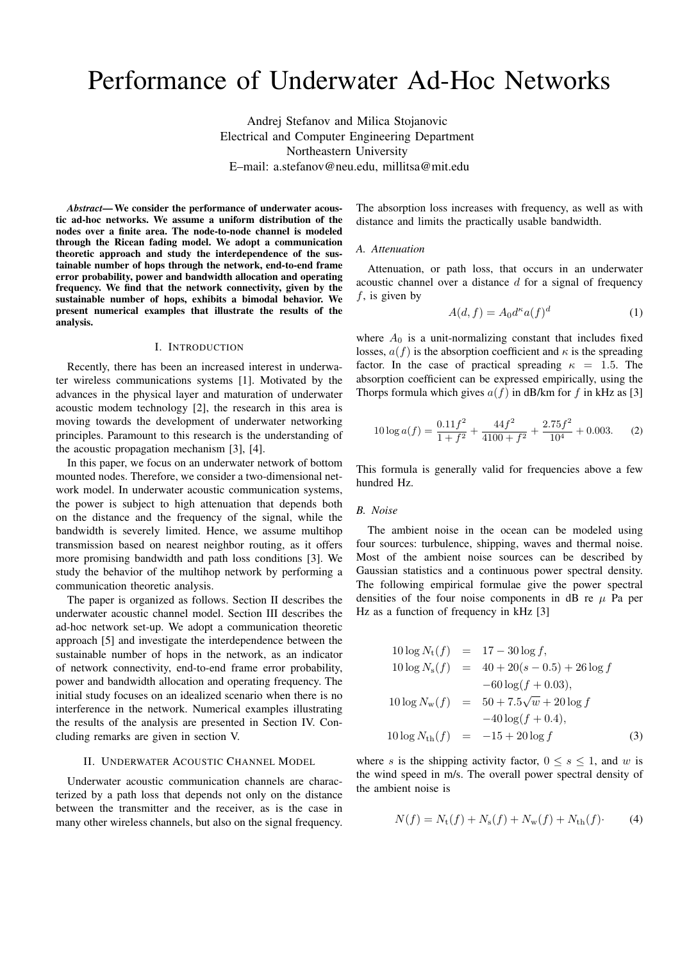# Performance of Underwater Ad-Hoc Networks

Andrej Stefanov and Milica Stojanovic Electrical and Computer Engineering Department Northeastern University E–mail: a.stefanov@neu.edu, millitsa@mit.edu

*Abstract*—We consider the performance of underwater acoustic ad-hoc networks. We assume a uniform distribution of the nodes over a finite area. The node-to-node channel is modeled through the Ricean fading model. We adopt a communication theoretic approach and study the interdependence of the sustainable number of hops through the network, end-to-end frame error probability, power and bandwidth allocation and operating frequency. We find that the network connectivity, given by the sustainable number of hops, exhibits a bimodal behavior. We present numerical examples that illustrate the results of the analysis.

# I. INTRODUCTION

Recently, there has been an increased interest in underwater wireless communications systems [1]. Motivated by the advances in the physical layer and maturation of underwater acoustic modem technology [2], the research in this area is moving towards the development of underwater networking principles. Paramount to this research is the understanding of the acoustic propagation mechanism [3], [4].

In this paper, we focus on an underwater network of bottom mounted nodes. Therefore, we consider a two-dimensional network model. In underwater acoustic communication systems, the power is subject to high attenuation that depends both on the distance and the frequency of the signal, while the bandwidth is severely limited. Hence, we assume multihop transmission based on nearest neighbor routing, as it offers more promising bandwidth and path loss conditions [3]. We study the behavior of the multihop network by performing a communication theoretic analysis.

The paper is organized as follows. Section II describes the underwater acoustic channel model. Section III describes the ad-hoc network set-up. We adopt a communication theoretic approach [5] and investigate the interdependence between the sustainable number of hops in the network, as an indicator of network connectivity, end-to-end frame error probability, power and bandwidth allocation and operating frequency. The initial study focuses on an idealized scenario when there is no interference in the network. Numerical examples illustrating the results of the analysis are presented in Section IV. Concluding remarks are given in section V.

## II. UNDERWATER ACOUSTIC CHANNEL MODEL

Underwater acoustic communication channels are characterized by a path loss that depends not only on the distance between the transmitter and the receiver, as is the case in many other wireless channels, but also on the signal frequency.

The absorption loss increases with frequency, as well as with distance and limits the practically usable bandwidth.

#### *A. Attenuation*

Attenuation, or path loss, that occurs in an underwater acoustic channel over a distance *d* for a signal of frequency *f*, is given by

$$
A(d, f) = A_0 d^{\kappa} a(f)^d \tag{1}
$$

where  $A_0$  is a unit-normalizing constant that includes fixed losses,  $a(f)$  is the absorption coefficient and  $\kappa$  is the spreading factor. In the case of practical spreading  $\kappa = 1.5$ . The absorption coefficient can be expressed empirically, using the Thorps formula which gives  $a(f)$  in dB/km for *f* in kHz as [3]

$$
10\log a(f) = \frac{0.11f^2}{1+f^2} + \frac{44f^2}{4100+f^2} + \frac{2.75f^2}{10^4} + 0.003. \tag{2}
$$

This formula is generally valid for frequencies above a few hundred Hz.

## *B. Noise*

The ambient noise in the ocean can be modeled using four sources: turbulence, shipping, waves and thermal noise. Most of the ambient noise sources can be described by Gaussian statistics and a continuous power spectral density. The following empirical formulae give the power spectral densities of the four noise components in dB re  $\mu$  Pa per Hz as a function of frequency in kHz [3]

$$
10\log N_{\rm t}(f) = 17 - 30\log f,
$$
  
\n
$$
10\log N_{\rm s}(f) = 40 + 20(s - 0.5) + 26\log f
$$
  
\n
$$
-60\log(f + 0.03),
$$
  
\n
$$
10\log N_{\rm w}(f) = 50 + 7.5\sqrt{w} + 20\log f
$$
  
\n
$$
-40\log(f + 0.4),
$$
  
\n
$$
10\log N_{\rm th}(f) = -15 + 20\log f
$$
 (3)

where *s* is the shipping activity factor,  $0 \le s \le 1$ , and *w* is the wind speed in m/s. The overall power spectral density of the ambient noise is

$$
N(f) = N_{\rm t}(f) + N_{\rm s}(f) + N_{\rm w}(f) + N_{\rm th}(f). \tag{4}
$$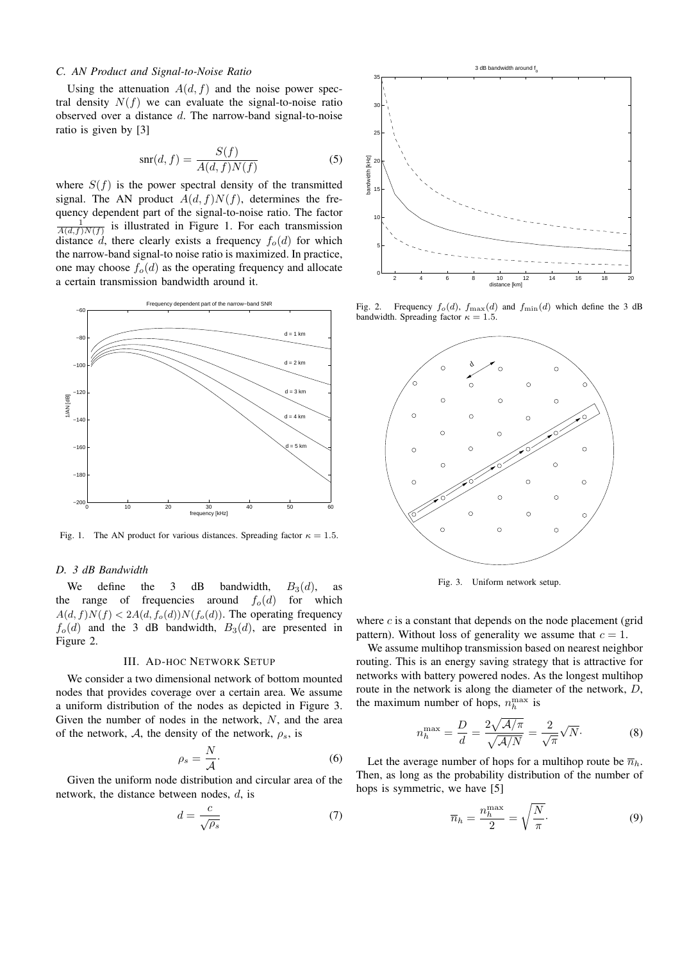## *C. AN Product and Signal-to-Noise Ratio*

Using the attenuation  $A(d, f)$  and the noise power spectral density  $N(f)$  we can evaluate the signal-to-noise ratio observed over a distance *d*. The narrow-band signal-to-noise ratio is given by [3]

$$
\operatorname{snr}(d, f) = \frac{S(f)}{A(d, f)N(f)}\tag{5}
$$

where  $S(f)$  is the power spectral density of the transmitted signal. The AN product  $A(d, f)N(f)$ , determines the frequency dependent part of the signal-to-noise ratio. The factor  $\frac{1}{A(d,f)N(f)}$  is illustrated in Figure 1. For each transmission distance *d*, there clearly exists a frequency  $f_o(d)$  for which the narrow-band signal-to noise ratio is maximized. In practice, one may choose  $f_o(d)$  as the operating frequency and allocate a certain transmission bandwidth around it.



Fig. 1. The AN product for various distances. Spreading factor  $\kappa = 1.5$ .

## *D. 3 dB Bandwidth*

We define the 3 dB bandwidth,  $B_3(d)$ , as the range of frequencies around  $f_o(d)$  for which  $A(d, f)N(f) < 2A(d, f_o(d))N(f_o(d))$ . The operating frequency  $f<sub>o</sub>(d)$  and the 3 dB bandwidth,  $B<sub>3</sub>(d)$ , are presented in Figure 2.

#### III. AD-HOC NETWORK SETUP

We consider a two dimensional network of bottom mounted nodes that provides coverage over a certain area. We assume a uniform distribution of the nodes as depicted in Figure 3. Given the number of nodes in the network, *N*, and the area of the network, A, the density of the network,  $\rho_s$ , is

$$
\rho_s = \frac{N}{\mathcal{A}}.\tag{6}
$$

Given the uniform node distribution and circular area of the network, the distance between nodes, *d*, is

$$
d = \frac{c}{\sqrt{\rho_s}}\tag{7}
$$



Fig. 2. Frequency  $f_o(d)$ ,  $f_{\text{max}}(d)$  and  $f_{\text{min}}(d)$  which define the 3 dB bandwidth. Spreading factor  $\kappa = 1.5$ .



Fig. 3. Uniform network setup.

where  $c$  is a constant that depends on the node placement (grid pattern). Without loss of generality we assume that  $c = 1$ .

We assume multihop transmission based on nearest neighbor routing. This is an energy saving strategy that is attractive for networks with battery powered nodes. As the longest multihop route in the network is along the diameter of the network, *D*, the maximum number of hops,  $n_h^{\text{max}}$  is

$$
n_h^{\text{max}} = \frac{D}{d} = \frac{2\sqrt{\mathcal{A}/\pi}}{\sqrt{\mathcal{A}/N}} = \frac{2}{\sqrt{\pi}}\sqrt{N}.
$$
 (8)

Let the average number of hops for a multihop route be  $\overline{n}_h$ . Then, as long as the probability distribution of the number of hops is symmetric, we have [5]

$$
\overline{n}_h = \frac{n_h^{\text{max}}}{2} = \sqrt{\frac{N}{\pi}}.\tag{9}
$$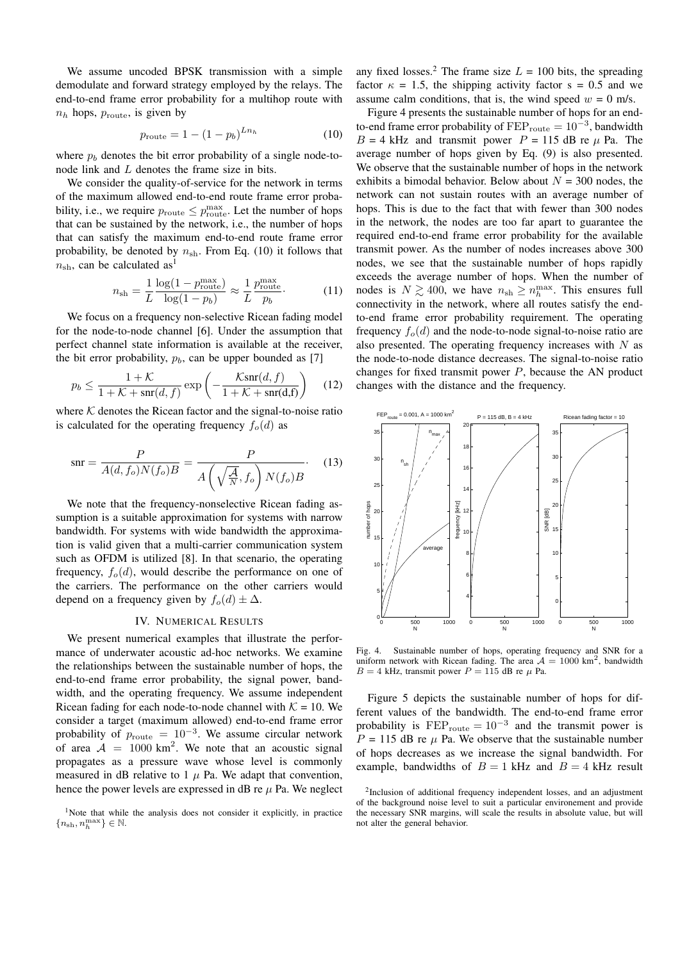We assume uncoded BPSK transmission with a simple demodulate and forward strategy employed by the relays. The end-to-end frame error probability for a multihop route with  $n_h$  hops,  $p_{\text{route}}$ , is given by

$$
p_{\text{route}} = 1 - (1 - p_b)^{Ln_h} \tag{10}
$$

where  $p_b$  denotes the bit error probability of a single node-tonode link and *L* denotes the frame size in bits.

We consider the quality-of-service for the network in terms of the maximum allowed end-to-end route frame error probability, i.e., we require  $p_{\text{route}} \leq p_{\text{route}}^{\text{max}}$ . Let the number of hops that can be sustained by the network, i.e., the number of hops that can satisfy the maximum end-to-end route frame error probability, be denoted by  $n_{\rm sh}$ . From Eq. (10) it follows that  $n_{\rm sh}$ , can be calculated as<sup>1</sup>

$$
n_{\rm sh} = \frac{1}{L} \frac{\log(1 - p_{\rm route}^{\rm max})}{\log(1 - p_b)} \approx \frac{1}{L} \frac{p_{\rm route}^{\rm max}}{p_b}.
$$
 (11)

We focus on a frequency non-selective Ricean fading model for the node-to-node channel [6]. Under the assumption that perfect channel state information is available at the receiver, the bit error probability,  $p_b$ , can be upper bounded as [7]

$$
p_b \le \frac{1+\mathcal{K}}{1+\mathcal{K}+\operatorname{snr}(d,f)} \exp\left(-\frac{\mathcal{K}\operatorname{snr}(d,f)}{1+\mathcal{K}+\operatorname{snr}(d,f)}\right) \quad (12)
$$

where  $K$  denotes the Ricean factor and the signal-to-noise ratio is calculated for the operating frequency  $f_o(d)$  as

$$
snr = \frac{P}{A(d, f_o)N(f_o)B} = \frac{P}{A\left(\sqrt{\frac{A}{N}}, f_o\right)N(f_o)B}.
$$
 (13)

We note that the frequency-nonselective Ricean fading assumption is a suitable approximation for systems with narrow bandwidth. For systems with wide bandwidth the approximation is valid given that a multi-carrier communication system such as OFDM is utilized [8]. In that scenario, the operating frequency,  $f_o(d)$ , would describe the performance on one of the carriers. The performance on the other carriers would depend on a frequency given by  $f_o(d) \pm \Delta$ .

## IV. NUMERICAL RESULTS

We present numerical examples that illustrate the performance of underwater acoustic ad-hoc networks. We examine the relationships between the sustainable number of hops, the end-to-end frame error probability, the signal power, bandwidth, and the operating frequency. We assume independent Ricean fading for each node-to-node channel with  $K = 10$ . We consider a target (maximum allowed) end-to-end frame error probability of  $p_{\text{route}} = 10^{-3}$ . We assume circular network of area  $A = 1000 \text{ km}^2$ . We note that an acoustic signal propagates as a pressure wave whose level is commonly measured in dB relative to  $1 \mu$  Pa. We adapt that convention, hence the power levels are expressed in dB re  $\mu$  Pa. We neglect any fixed losses.<sup>2</sup> The frame size  $L = 100$  bits, the spreading factor  $\kappa = 1.5$ , the shipping activity factor  $s = 0.5$  and we assume calm conditions, that is, the wind speed  $w = 0$  m/s.

Figure 4 presents the sustainable number of hops for an endto-end frame error probability of FEP<sub>route</sub> = 10<sup>-3</sup>, bandwidth  $B = 4$  kHz and transmit power  $P = 115$  dB re  $\mu$  Pa. The average number of hops given by Eq. (9) is also presented. We observe that the sustainable number of hops in the network exhibits a bimodal behavior. Below about  $N = 300$  nodes, the network can not sustain routes with an average number of hops. This is due to the fact that with fewer than 300 nodes in the network, the nodes are too far apart to guarantee the required end-to-end frame error probability for the available transmit power. As the number of nodes increases above 300 nodes, we see that the sustainable number of hops rapidly exceeds the average number of hops. When the number of nodes is  $N \gtrsim 400$ , we have  $n_{\text{sh}} \ge n_h^{\text{max}}$ . This ensures full connectivity in the network, where all routes satisfy the endto-end frame error probability requirement. The operating frequency  $f<sub>o</sub>(d)$  and the node-to-node signal-to-noise ratio are also presented. The operating frequency increases with *N* as the node-to-node distance decreases. The signal-to-noise ratio changes for fixed transmit power *P*, because the AN product changes with the distance and the frequency.



Fig. 4. Sustainable number of hops, operating frequency and SNR for a uniform network with Ricean fading. The area  $A = 1000$  km<sup>2</sup>, bandwidth  $B = 4$  kHz, transmit power  $P = 115$  dB re  $\mu$  Pa.

Figure 5 depicts the sustainable number of hops for different values of the bandwidth. The end-to-end frame error probability is  $\text{FEP}_{\text{route}} = 10^{-3}$  and the transmit power is  $P = 115$  dB re  $\mu$  Pa. We observe that the sustainable number of hops decreases as we increase the signal bandwidth. For example, bandwidths of  $B = 1$  kHz and  $B = 4$  kHz result

<sup>&</sup>lt;sup>1</sup>Note that while the analysis does not consider it explicitly, in practice  $\{n_{\mathrm{sh}}, n_{h}^{\max}\} \in \mathbb{N}.$ 

<sup>&</sup>lt;sup>2</sup>Inclusion of additional frequency independent losses, and an adjustment of the background noise level to suit a particular environement and provide the necessary SNR margins, will scale the results in absolute value, but will not alter the general behavior.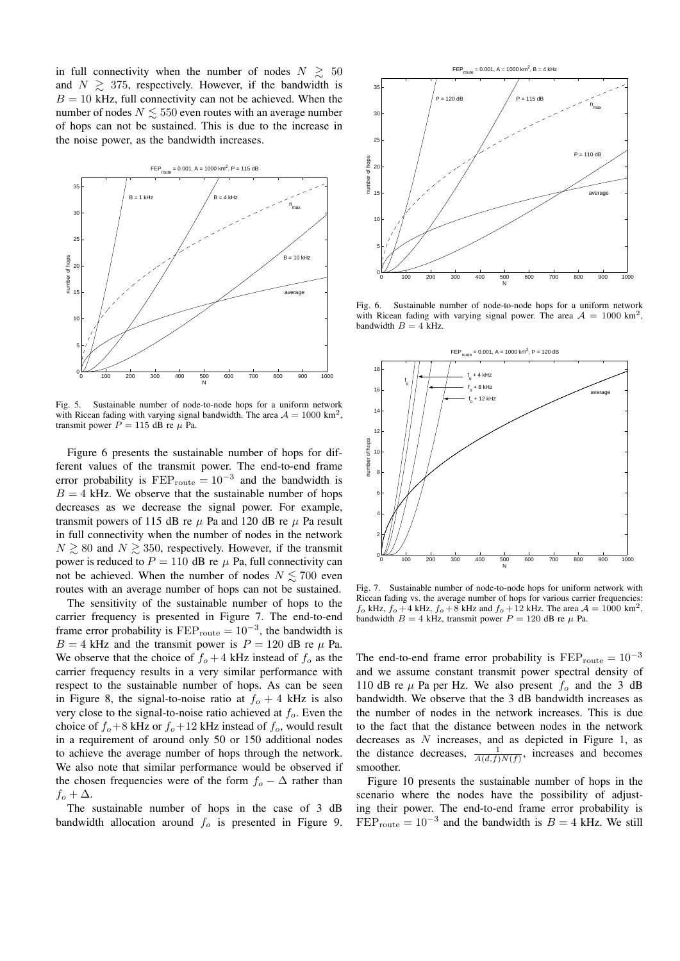in full connectivity when the number of nodes  $N \geq 50$ and  $N \geq 375$ , respectively. However, if the bandwidth is  $B = 10$  kHz, full connectivity can not be achieved. When the number of nodes  $N \leq 550$  even routes with an average number of hops can not be sustained. This is due to the increase in the noise power, as the bandwidth increases.



Fig. 5. Sustainable number of node-to-node hops for a uniform network with Ricean fading with varying signal bandwidth. The area  $A = 1000 \text{ km}^2$ , transmit power  $P = 115$  dB re  $\mu$  Pa.

Figure 6 presents the sustainable number of hops for different values of the transmit power. The end-to-end frame error probability is  $\text{FEP}_{\text{route}} = 10^{-3}$  and the bandwidth is  $B = 4$  kHz. We observe that the sustainable number of hops decreases as we decrease the signal power. For example, transmit powers of 115 dB re  $\mu$  Pa and 120 dB re  $\mu$  Pa result in full connectivity when the number of nodes in the network  $N \gtrsim 80$  and  $N \gtrsim 350$ , respectively. However, if the transmit power is reduced to  $P = 110$  dB re  $\mu$  Pa, full connectivity can not be achieved. When the number of nodes  $N \lesssim 700$  even routes with an average number of hops can not be sustained.

The sensitivity of the sustainable number of hops to the carrier frequency is presented in Figure 7. The end-to-end frame error probability is  $\text{FEP}_{\text{route}} = 10^{-3}$ , the bandwidth is  $B = 4$  kHz and the transmit power is  $P = 120$  dB re  $\mu$  Pa. We observe that the choice of  $f_0 + 4$  kHz instead of  $f_0$  as the carrier frequency results in a very similar performance with respect to the sustainable number of hops. As can be seen in Figure 8, the signal-to-noise ratio at  $f<sub>o</sub> + 4$  kHz is also very close to the signal-to-noise ratio achieved at *fo*. Even the choice of  $f_o + 8$  kHz or  $f_o + 12$  kHz instead of  $f_o$ , would result in a requirement of around only 50 or 150 additional nodes to achieve the average number of hops through the network. We also note that similar performance would be observed if the chosen frequencies were of the form  $f<sub>o</sub> - \Delta$  rather than  $f_o + \Delta$ .

The sustainable number of hops in the case of 3 dB bandwidth allocation around *f<sup>o</sup>* is presented in Figure 9.



Fig. 6. Sustainable number of node-to-node hops for a uniform network with Ricean fading with varying signal power. The area  $A = 1000$  km<sup>2</sup>, bandwidth  $B = 4$  kHz.



Fig. 7. Sustainable number of node-to-node hops for uniform network with Ricean fading vs. the average number of hops for various carrier frequencies:  $f_o$  kHz,  $f_o + 4$  kHz,  $f_o + 8$  kHz and  $f_o + 12$  kHz. The area  $A = 1000$  km<sup>2</sup>, bandwidth  $B = 4$  kHz, transmit power  $P = 120$  dB re  $\mu$  Pa.

The end-to-end frame error probability is  $\text{FEP}_{\text{route}} = 10^{-3}$ and we assume constant transmit power spectral density of 110 dB re  $\mu$  Pa per Hz. We also present  $f_0$  and the 3 dB bandwidth. We observe that the 3 dB bandwidth increases as the number of nodes in the network increases. This is due to the fact that the distance between nodes in the network decreases as *N* increases, and as depicted in Figure 1, as the distance decreases,  $\frac{1}{A(d,f)N(f)}$ , increases and becomes smoother.

Figure 10 presents the sustainable number of hops in the scenario where the nodes have the possibility of adjusting their power. The end-to-end frame error probability is  $FEP_{\text{route}} = 10^{-3}$  and the bandwidth is  $B = 4$  kHz. We still